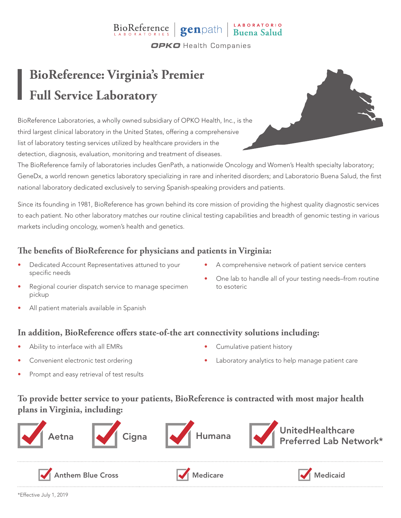# BioReference genpath Buena Salud

**OPKO** Health Companies

### **BioReference: Virginia's Premier Full Service Laboratory**

BioReference Laboratories, a wholly owned subsidiary of OPKO Health, Inc., is the third largest clinical laboratory in the United States, offering a comprehensive list of laboratory testing services utilized by healthcare providers in the detection, diagnosis, evaluation, monitoring and treatment of diseases.

The BioReference family of laboratories includes GenPath, a nationwide Oncology and Women's Health specialty laboratory; GeneDx, a world renown genetics laboratory specializing in rare and inherited disorders; and Laboratorio Buena Salud, the first national laboratory dedicated exclusively to serving Spanish-speaking providers and patients.

Since its founding in 1981, BioReference has grown behind its core mission of providing the highest quality diagnostic services to each patient. No other laboratory matches our routine clinical testing capabilities and breadth of genomic testing in various markets including oncology, women's health and genetics.

### **The benefits of BioReference for physicians and patients in Virginia:**

- Dedicated Account Representatives attuned to your specific needs
- A comprehensive network of patient service centers
- Regional courier dispatch service to manage specimen pickup
- One lab to handle all of your testing needs–from routine to esoteric
- All patient materials available in Spanish

#### **In addition, BioReference offers state-of-the art connectivity solutions including:**

- Ability to interface with all EMRs
- Convenient electronic test ordering
	- Prompt and easy retrieval of test results
- Cumulative patient history
- Laboratory analytics to help manage patient care

#### **To provide better service to your patients, BioReference is contracted with most major health plans in Virginia, including:**